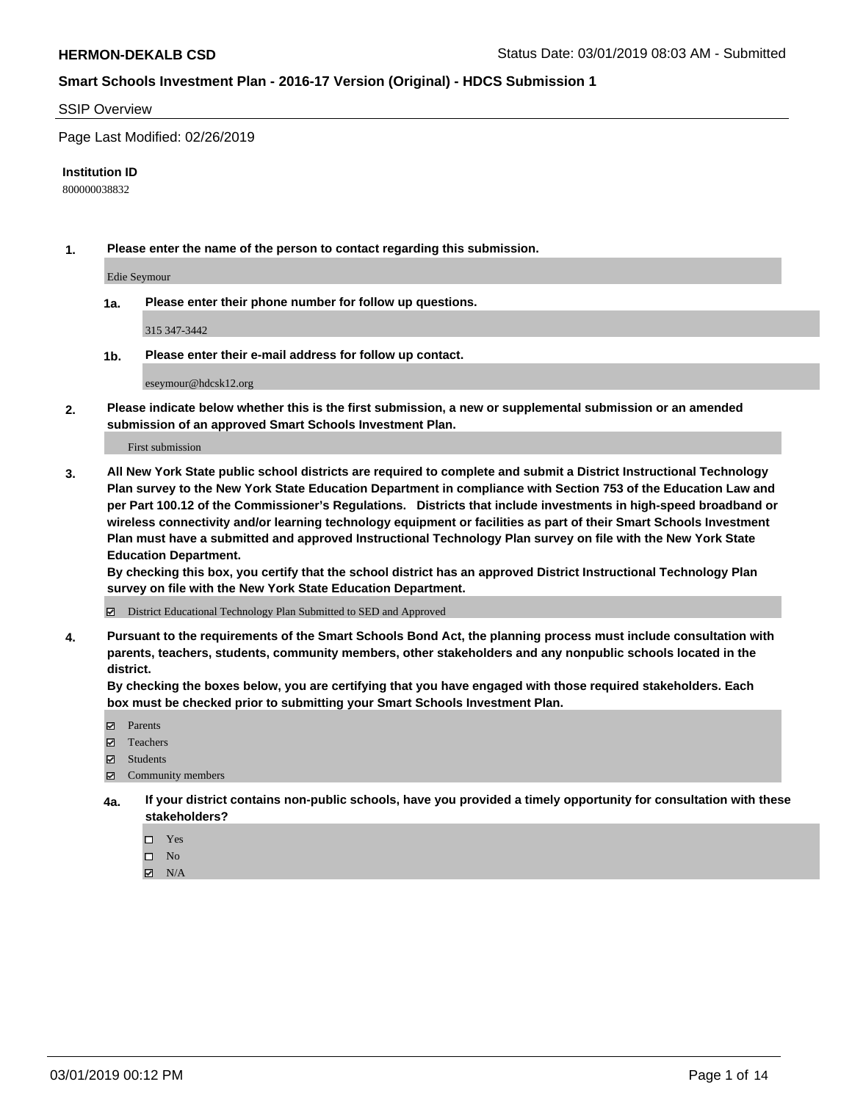### SSIP Overview

Page Last Modified: 02/26/2019

#### **Institution ID**

800000038832

**1. Please enter the name of the person to contact regarding this submission.**

Edie Seymour

**1a. Please enter their phone number for follow up questions.**

315 347-3442

**1b. Please enter their e-mail address for follow up contact.**

eseymour@hdcsk12.org

**2. Please indicate below whether this is the first submission, a new or supplemental submission or an amended submission of an approved Smart Schools Investment Plan.**

First submission

**3. All New York State public school districts are required to complete and submit a District Instructional Technology Plan survey to the New York State Education Department in compliance with Section 753 of the Education Law and per Part 100.12 of the Commissioner's Regulations. Districts that include investments in high-speed broadband or wireless connectivity and/or learning technology equipment or facilities as part of their Smart Schools Investment Plan must have a submitted and approved Instructional Technology Plan survey on file with the New York State Education Department.** 

**By checking this box, you certify that the school district has an approved District Instructional Technology Plan survey on file with the New York State Education Department.**

District Educational Technology Plan Submitted to SED and Approved

**4. Pursuant to the requirements of the Smart Schools Bond Act, the planning process must include consultation with parents, teachers, students, community members, other stakeholders and any nonpublic schools located in the district.** 

**By checking the boxes below, you are certifying that you have engaged with those required stakeholders. Each box must be checked prior to submitting your Smart Schools Investment Plan.**

- **□** Parents
- Teachers
- Students
- $\boxtimes$  Community members
- **4a. If your district contains non-public schools, have you provided a timely opportunity for consultation with these stakeholders?**
	- $\Box$  Yes
	- $\qquad \qquad$  No
	- $\blacksquare$  N/A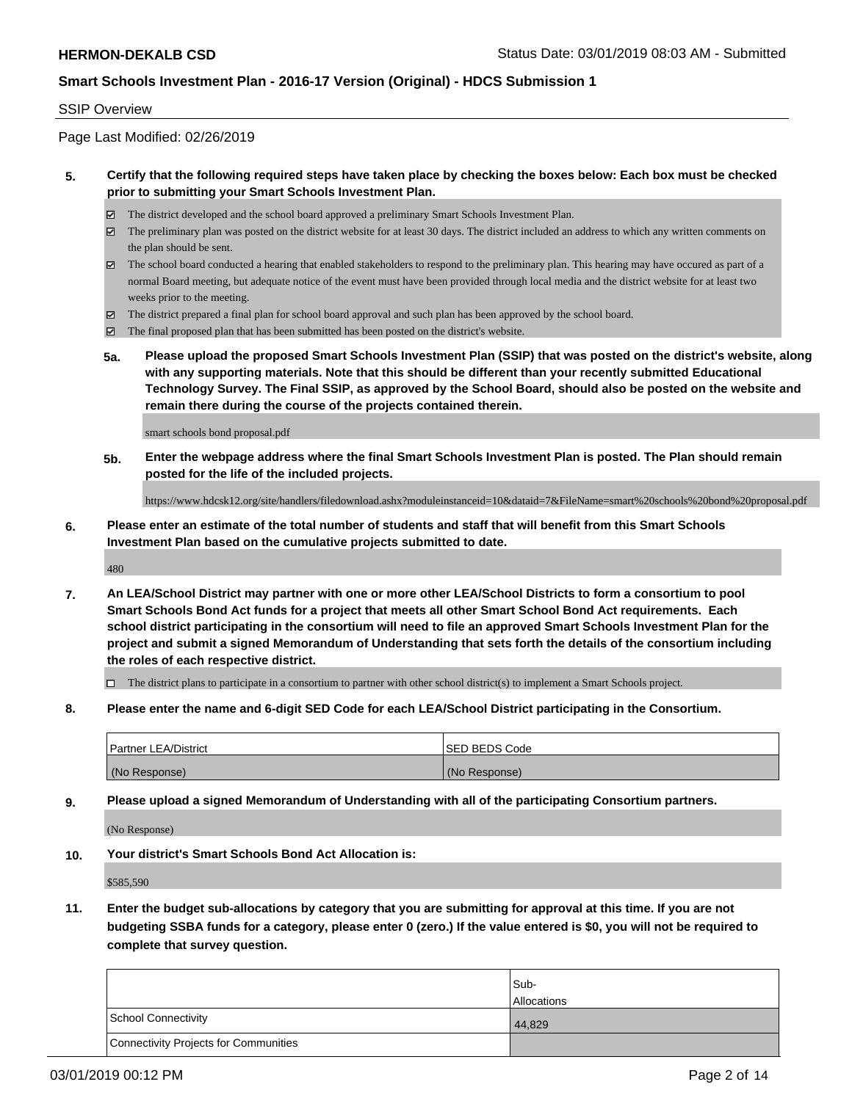### SSIP Overview

Page Last Modified: 02/26/2019

### **5. Certify that the following required steps have taken place by checking the boxes below: Each box must be checked prior to submitting your Smart Schools Investment Plan.**

- The district developed and the school board approved a preliminary Smart Schools Investment Plan.
- $\boxtimes$  The preliminary plan was posted on the district website for at least 30 days. The district included an address to which any written comments on the plan should be sent.
- $\boxtimes$  The school board conducted a hearing that enabled stakeholders to respond to the preliminary plan. This hearing may have occured as part of a normal Board meeting, but adequate notice of the event must have been provided through local media and the district website for at least two weeks prior to the meeting.
- The district prepared a final plan for school board approval and such plan has been approved by the school board.
- $\boxtimes$  The final proposed plan that has been submitted has been posted on the district's website.
- **5a. Please upload the proposed Smart Schools Investment Plan (SSIP) that was posted on the district's website, along with any supporting materials. Note that this should be different than your recently submitted Educational Technology Survey. The Final SSIP, as approved by the School Board, should also be posted on the website and remain there during the course of the projects contained therein.**

smart schools bond proposal.pdf

**5b. Enter the webpage address where the final Smart Schools Investment Plan is posted. The Plan should remain posted for the life of the included projects.**

https://www.hdcsk12.org/site/handlers/filedownload.ashx?moduleinstanceid=10&dataid=7&FileName=smart%20schools%20bond%20proposal.pdf

**6. Please enter an estimate of the total number of students and staff that will benefit from this Smart Schools Investment Plan based on the cumulative projects submitted to date.**

480

**7. An LEA/School District may partner with one or more other LEA/School Districts to form a consortium to pool Smart Schools Bond Act funds for a project that meets all other Smart School Bond Act requirements. Each school district participating in the consortium will need to file an approved Smart Schools Investment Plan for the project and submit a signed Memorandum of Understanding that sets forth the details of the consortium including the roles of each respective district.**

 $\Box$  The district plans to participate in a consortium to partner with other school district(s) to implement a Smart Schools project.

**8. Please enter the name and 6-digit SED Code for each LEA/School District participating in the Consortium.**

| <b>Partner LEA/District</b> | <b>ISED BEDS Code</b> |
|-----------------------------|-----------------------|
| (No Response)               | (No Response)         |

**9. Please upload a signed Memorandum of Understanding with all of the participating Consortium partners.**

(No Response)

**10. Your district's Smart Schools Bond Act Allocation is:**

\$585,590

**11. Enter the budget sub-allocations by category that you are submitting for approval at this time. If you are not budgeting SSBA funds for a category, please enter 0 (zero.) If the value entered is \$0, you will not be required to complete that survey question.**

|                                              | Sub-               |
|----------------------------------------------|--------------------|
|                                              | <b>Allocations</b> |
| <b>School Connectivity</b>                   | 44.829             |
| <b>Connectivity Projects for Communities</b> |                    |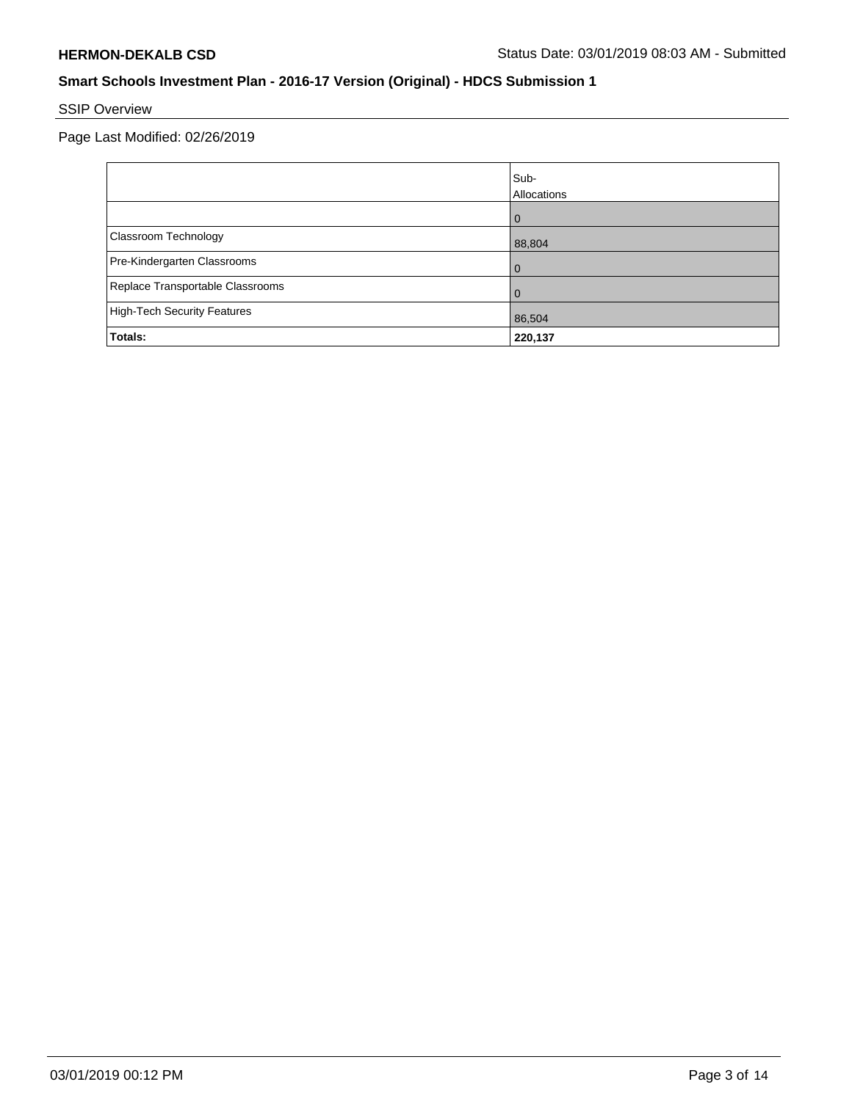# SSIP Overview

Page Last Modified: 02/26/2019

|                                    | Sub-<br>Allocations |
|------------------------------------|---------------------|
|                                    | $\Omega$            |
| Classroom Technology               | 88,804              |
| Pre-Kindergarten Classrooms        | $\Omega$            |
| Replace Transportable Classrooms   | 0                   |
| <b>High-Tech Security Features</b> | 86,504              |
| Totals:                            | 220,137             |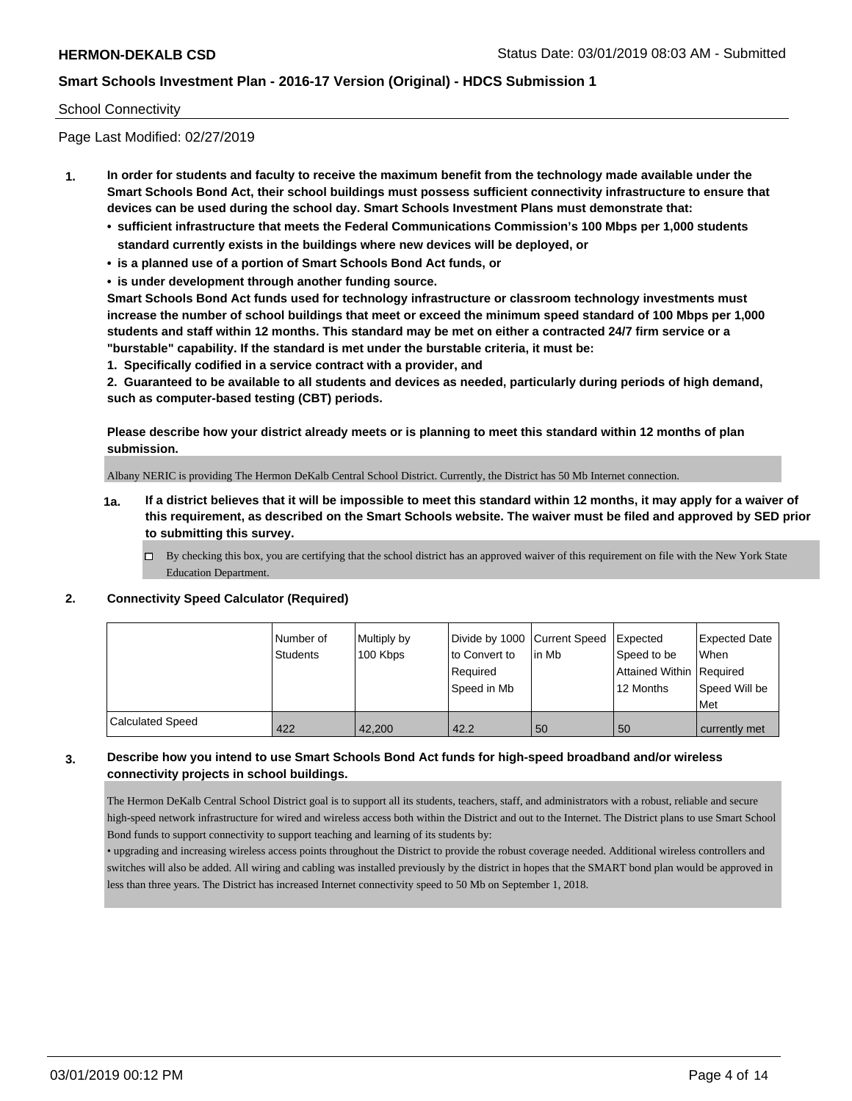### School Connectivity

Page Last Modified: 02/27/2019

- **1. In order for students and faculty to receive the maximum benefit from the technology made available under the Smart Schools Bond Act, their school buildings must possess sufficient connectivity infrastructure to ensure that devices can be used during the school day. Smart Schools Investment Plans must demonstrate that:**
	- **• sufficient infrastructure that meets the Federal Communications Commission's 100 Mbps per 1,000 students standard currently exists in the buildings where new devices will be deployed, or**
	- **• is a planned use of a portion of Smart Schools Bond Act funds, or**
	- **• is under development through another funding source.**

**Smart Schools Bond Act funds used for technology infrastructure or classroom technology investments must increase the number of school buildings that meet or exceed the minimum speed standard of 100 Mbps per 1,000 students and staff within 12 months. This standard may be met on either a contracted 24/7 firm service or a "burstable" capability. If the standard is met under the burstable criteria, it must be:**

**1. Specifically codified in a service contract with a provider, and**

**2. Guaranteed to be available to all students and devices as needed, particularly during periods of high demand, such as computer-based testing (CBT) periods.**

**Please describe how your district already meets or is planning to meet this standard within 12 months of plan submission.**

Albany NERIC is providing The Hermon DeKalb Central School District. Currently, the District has 50 Mb Internet connection.

- **1a. If a district believes that it will be impossible to meet this standard within 12 months, it may apply for a waiver of this requirement, as described on the Smart Schools website. The waiver must be filed and approved by SED prior to submitting this survey.**
	- By checking this box, you are certifying that the school district has an approved waiver of this requirement on file with the New York State Education Department.

### **2. Connectivity Speed Calculator (Required)**

|                         | l Number of<br><b>Students</b> | Multiply by<br>100 Kbps | Divide by 1000 Current Speed<br>to Convert to<br>Required<br>Speed in Mb | lin Mb | Expected<br>Speed to be<br>Attained Within   Required<br>12 Months | <b>Expected Date</b><br>When<br>Speed Will be<br>Met |
|-------------------------|--------------------------------|-------------------------|--------------------------------------------------------------------------|--------|--------------------------------------------------------------------|------------------------------------------------------|
| <b>Calculated Speed</b> | 422                            | 42.200                  | 42.2                                                                     | 50     | 50                                                                 | currently met                                        |

# **3. Describe how you intend to use Smart Schools Bond Act funds for high-speed broadband and/or wireless connectivity projects in school buildings.**

The Hermon DeKalb Central School District goal is to support all its students, teachers, staff, and administrators with a robust, reliable and secure high-speed network infrastructure for wired and wireless access both within the District and out to the Internet. The District plans to use Smart School Bond funds to support connectivity to support teaching and learning of its students by:

• upgrading and increasing wireless access points throughout the District to provide the robust coverage needed. Additional wireless controllers and switches will also be added. All wiring and cabling was installed previously by the district in hopes that the SMART bond plan would be approved in less than three years. The District has increased Internet connectivity speed to 50 Mb on September 1, 2018.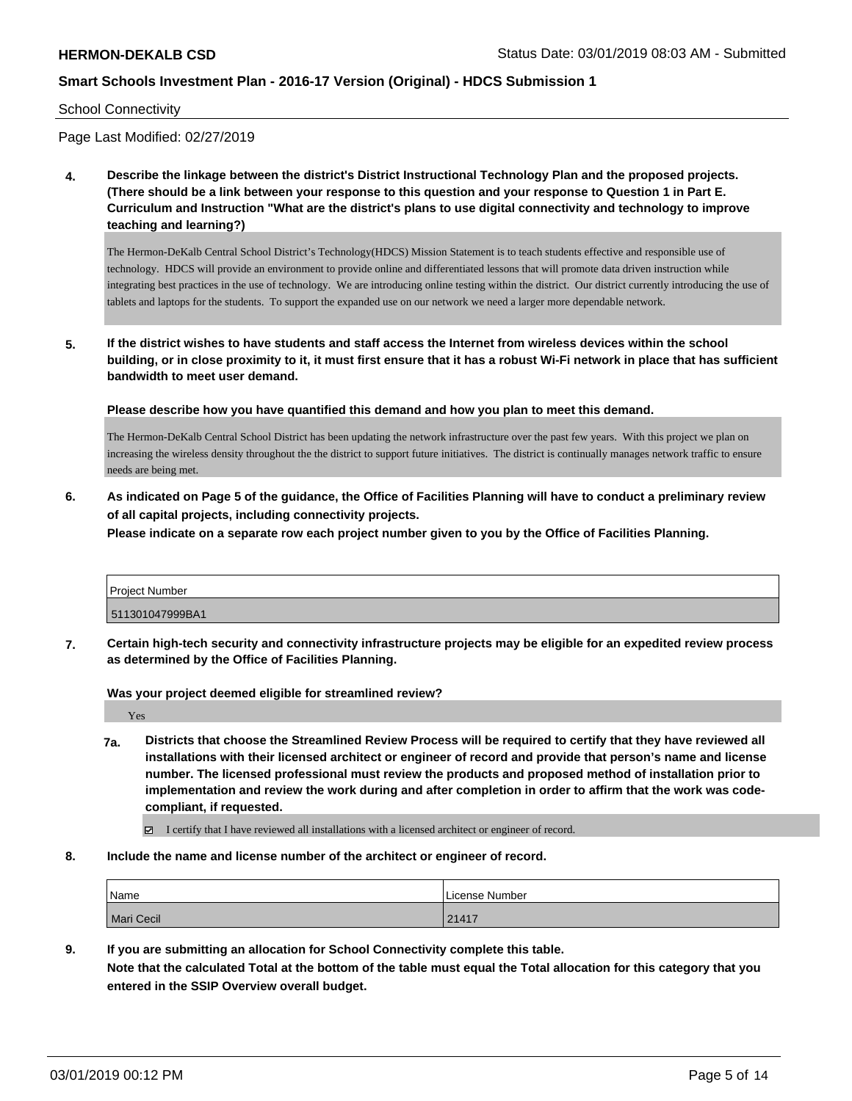#### School Connectivity

Page Last Modified: 02/27/2019

**4. Describe the linkage between the district's District Instructional Technology Plan and the proposed projects. (There should be a link between your response to this question and your response to Question 1 in Part E. Curriculum and Instruction "What are the district's plans to use digital connectivity and technology to improve teaching and learning?)**

The Hermon-DeKalb Central School District's Technology(HDCS) Mission Statement is to teach students effective and responsible use of technology. HDCS will provide an environment to provide online and differentiated lessons that will promote data driven instruction while integrating best practices in the use of technology. We are introducing online testing within the district. Our district currently introducing the use of tablets and laptops for the students. To support the expanded use on our network we need a larger more dependable network.

**5. If the district wishes to have students and staff access the Internet from wireless devices within the school building, or in close proximity to it, it must first ensure that it has a robust Wi-Fi network in place that has sufficient bandwidth to meet user demand.**

**Please describe how you have quantified this demand and how you plan to meet this demand.**

The Hermon-DeKalb Central School District has been updating the network infrastructure over the past few years. With this project we plan on increasing the wireless density throughout the the district to support future initiatives. The district is continually manages network traffic to ensure needs are being met.

**6. As indicated on Page 5 of the guidance, the Office of Facilities Planning will have to conduct a preliminary review of all capital projects, including connectivity projects.**

**Please indicate on a separate row each project number given to you by the Office of Facilities Planning.**

|                 | Project Number |  |
|-----------------|----------------|--|
| 511301047999BA1 |                |  |

**7. Certain high-tech security and connectivity infrastructure projects may be eligible for an expedited review process as determined by the Office of Facilities Planning.**

**Was your project deemed eligible for streamlined review?**

Yes

- **7a. Districts that choose the Streamlined Review Process will be required to certify that they have reviewed all installations with their licensed architect or engineer of record and provide that person's name and license number. The licensed professional must review the products and proposed method of installation prior to implementation and review the work during and after completion in order to affirm that the work was codecompliant, if requested.**
	- I certify that I have reviewed all installations with a licensed architect or engineer of record.
- **8. Include the name and license number of the architect or engineer of record.**

| Name       | License Number |
|------------|----------------|
| Mari Cecil | 21417          |

**9. If you are submitting an allocation for School Connectivity complete this table. Note that the calculated Total at the bottom of the table must equal the Total allocation for this category that you entered in the SSIP Overview overall budget.**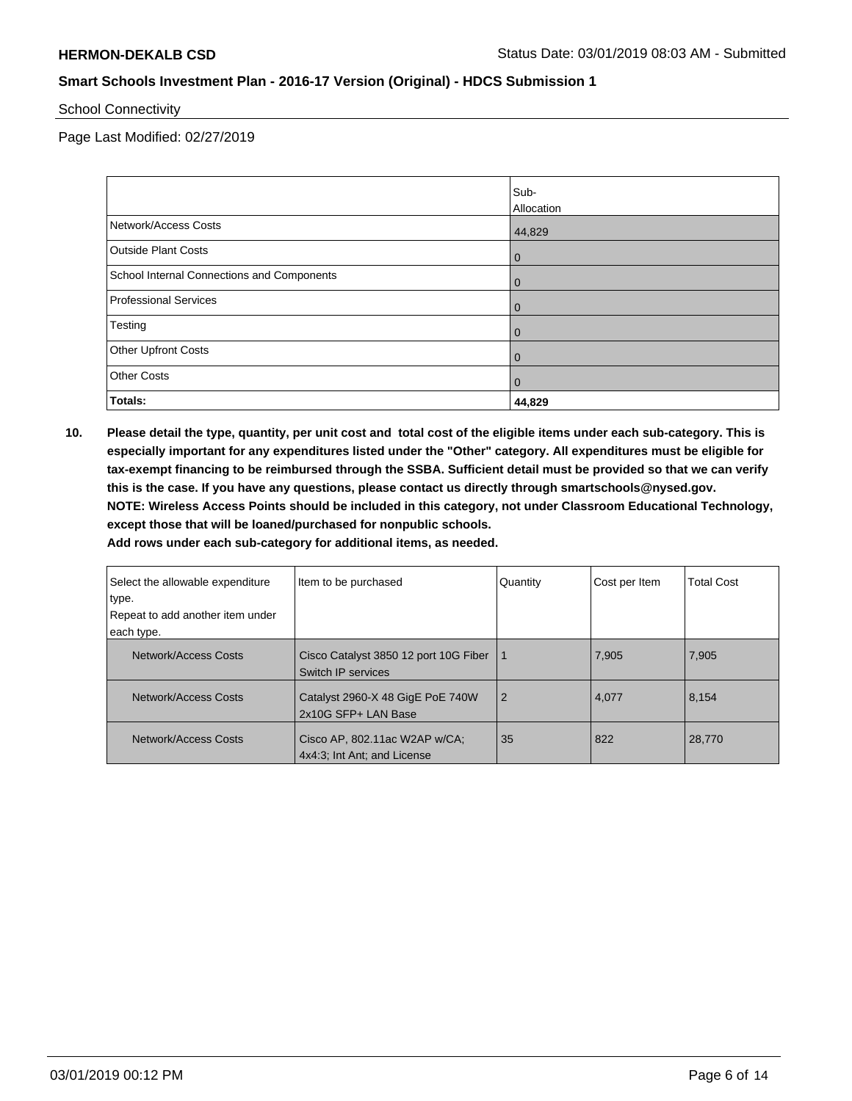School Connectivity

Page Last Modified: 02/27/2019

|                                            | Sub-           |
|--------------------------------------------|----------------|
|                                            | Allocation     |
| Network/Access Costs                       | 44,829         |
| <b>Outside Plant Costs</b>                 | $\overline{0}$ |
| School Internal Connections and Components | $\overline{0}$ |
| Professional Services                      | $\mathbf 0$    |
| Testing                                    | $\mathbf 0$    |
| <b>Other Upfront Costs</b>                 | $\mathbf 0$    |
| <b>Other Costs</b>                         | $\mathbf{0}$   |
| Totals:                                    | 44,829         |

**10. Please detail the type, quantity, per unit cost and total cost of the eligible items under each sub-category. This is especially important for any expenditures listed under the "Other" category. All expenditures must be eligible for tax-exempt financing to be reimbursed through the SSBA. Sufficient detail must be provided so that we can verify this is the case. If you have any questions, please contact us directly through smartschools@nysed.gov. NOTE: Wireless Access Points should be included in this category, not under Classroom Educational Technology, except those that will be loaned/purchased for nonpublic schools.**

**Add rows under each sub-category for additional items, as needed.**

| Select the allowable expenditure<br>∣type.<br>Repeat to add another item under | Item to be purchased                                         | Quantity       | Cost per Item | <b>Total Cost</b> |
|--------------------------------------------------------------------------------|--------------------------------------------------------------|----------------|---------------|-------------------|
| each type.                                                                     |                                                              |                |               |                   |
| Network/Access Costs                                                           | Cisco Catalyst 3850 12 port 10G Fiber<br>Switch IP services  |                | 7,905         | 7,905             |
| Network/Access Costs                                                           | Catalyst 2960-X 48 GigE PoE 740W<br>2x10G SFP+ LAN Base      | $\overline{2}$ | 4,077         | 8,154             |
| Network/Access Costs                                                           | Cisco AP, 802.11ac W2AP w/CA;<br>4x4:3; Int Ant; and License | 35             | 822           | 28.770            |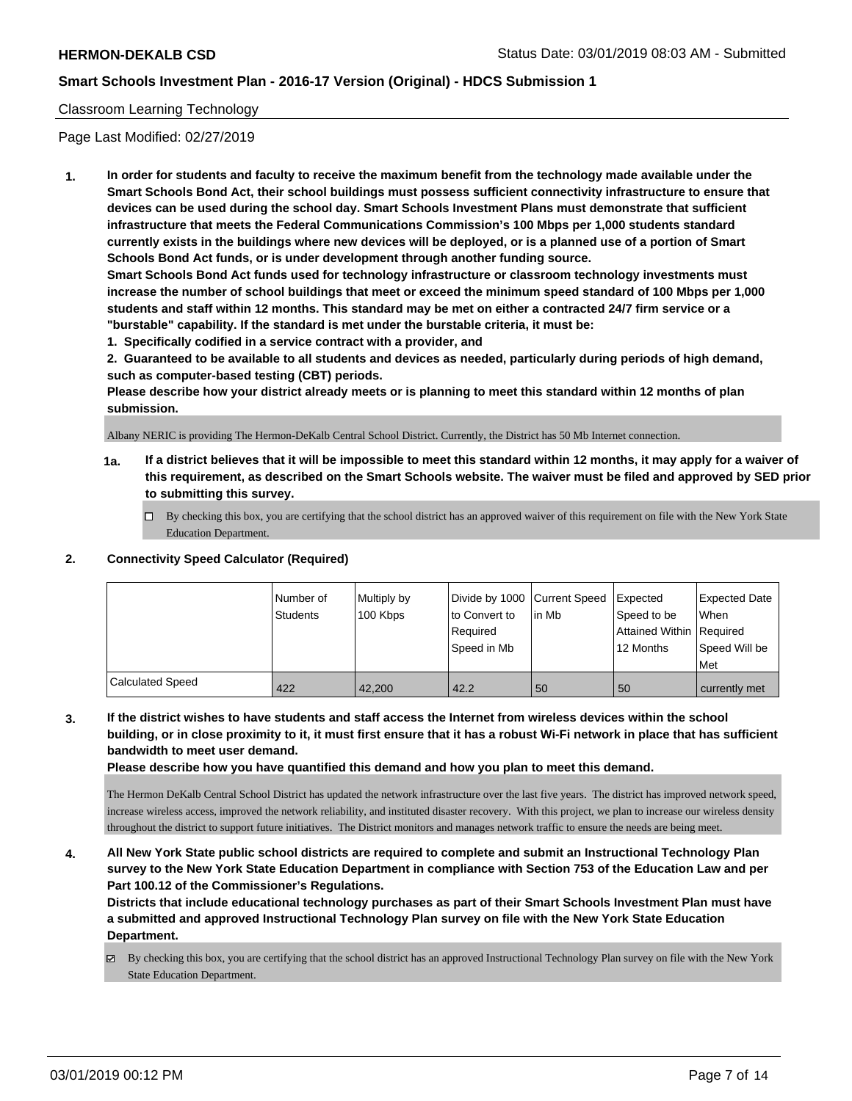### Classroom Learning Technology

Page Last Modified: 02/27/2019

**1. In order for students and faculty to receive the maximum benefit from the technology made available under the Smart Schools Bond Act, their school buildings must possess sufficient connectivity infrastructure to ensure that devices can be used during the school day. Smart Schools Investment Plans must demonstrate that sufficient infrastructure that meets the Federal Communications Commission's 100 Mbps per 1,000 students standard currently exists in the buildings where new devices will be deployed, or is a planned use of a portion of Smart Schools Bond Act funds, or is under development through another funding source.**

**Smart Schools Bond Act funds used for technology infrastructure or classroom technology investments must increase the number of school buildings that meet or exceed the minimum speed standard of 100 Mbps per 1,000 students and staff within 12 months. This standard may be met on either a contracted 24/7 firm service or a "burstable" capability. If the standard is met under the burstable criteria, it must be:**

**1. Specifically codified in a service contract with a provider, and**

**2. Guaranteed to be available to all students and devices as needed, particularly during periods of high demand, such as computer-based testing (CBT) periods.**

**Please describe how your district already meets or is planning to meet this standard within 12 months of plan submission.**

Albany NERIC is providing The Hermon-DeKalb Central School District. Currently, the District has 50 Mb Internet connection.

- **1a. If a district believes that it will be impossible to meet this standard within 12 months, it may apply for a waiver of this requirement, as described on the Smart Schools website. The waiver must be filed and approved by SED prior to submitting this survey.**
	- By checking this box, you are certifying that the school district has an approved waiver of this requirement on file with the New York State Education Department.

### **2. Connectivity Speed Calculator (Required)**

|                         | l Number of<br><b>Students</b> | Multiply by<br>100 Kbps | Divide by 1000 Current Speed<br>to Convert to<br>Required<br>Speed in Mb | lin Mb | <b>I</b> Expected<br>Speed to be<br>Attained Within Required<br>12 Months | Expected Date<br>When<br>Speed Will be<br>Met |
|-------------------------|--------------------------------|-------------------------|--------------------------------------------------------------------------|--------|---------------------------------------------------------------------------|-----------------------------------------------|
| <b>Calculated Speed</b> | 422                            | 42.200                  | 42.2                                                                     | 50     | 50                                                                        | currently met                                 |

**3. If the district wishes to have students and staff access the Internet from wireless devices within the school building, or in close proximity to it, it must first ensure that it has a robust Wi-Fi network in place that has sufficient bandwidth to meet user demand.**

**Please describe how you have quantified this demand and how you plan to meet this demand.**

The Hermon DeKalb Central School District has updated the network infrastructure over the last five years. The district has improved network speed, increase wireless access, improved the network reliability, and instituted disaster recovery. With this project, we plan to increase our wireless density throughout the district to support future initiatives. The District monitors and manages network traffic to ensure the needs are being meet.

**4. All New York State public school districts are required to complete and submit an Instructional Technology Plan survey to the New York State Education Department in compliance with Section 753 of the Education Law and per Part 100.12 of the Commissioner's Regulations.**

**Districts that include educational technology purchases as part of their Smart Schools Investment Plan must have a submitted and approved Instructional Technology Plan survey on file with the New York State Education Department.**

By checking this box, you are certifying that the school district has an approved Instructional Technology Plan survey on file with the New York State Education Department.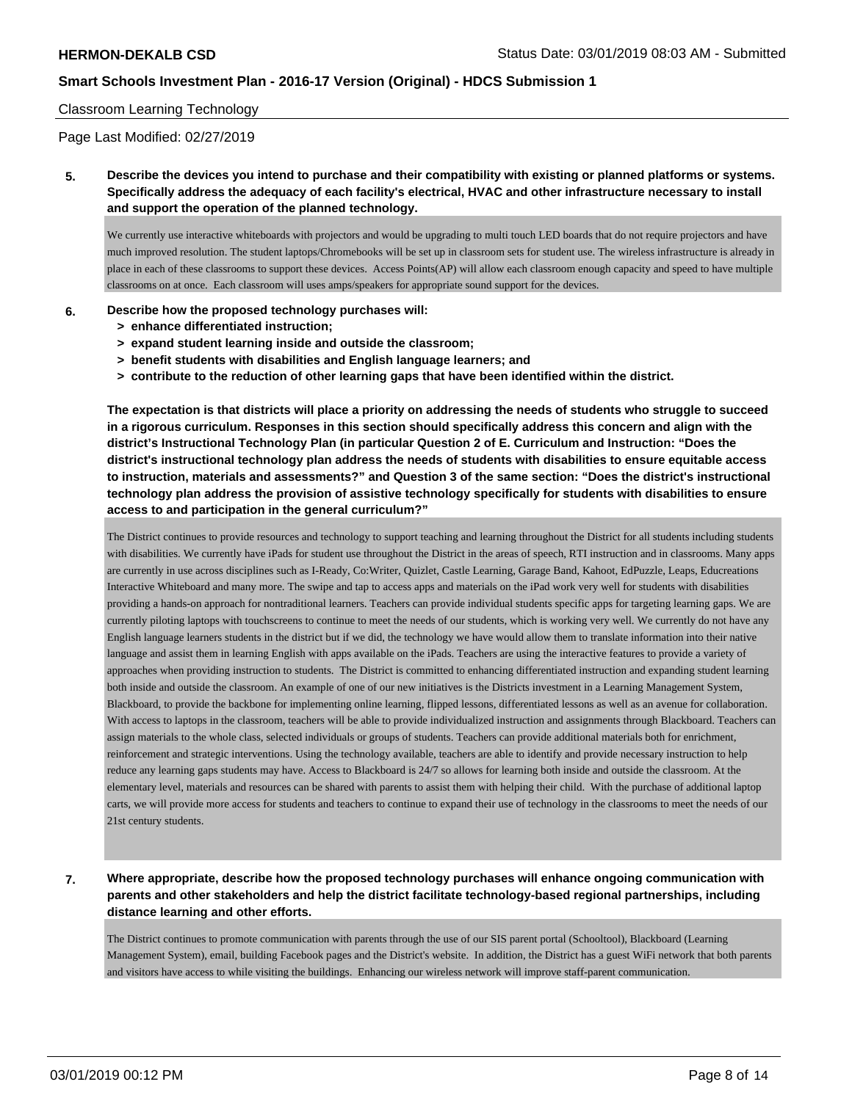### Classroom Learning Technology

Page Last Modified: 02/27/2019

**5. Describe the devices you intend to purchase and their compatibility with existing or planned platforms or systems. Specifically address the adequacy of each facility's electrical, HVAC and other infrastructure necessary to install and support the operation of the planned technology.**

We currently use interactive whiteboards with projectors and would be upgrading to multi touch LED boards that do not require projectors and have much improved resolution. The student laptops/Chromebooks will be set up in classroom sets for student use. The wireless infrastructure is already in place in each of these classrooms to support these devices. Access Points(AP) will allow each classroom enough capacity and speed to have multiple classrooms on at once. Each classroom will uses amps/speakers for appropriate sound support for the devices.

#### **6. Describe how the proposed technology purchases will:**

- **> enhance differentiated instruction;**
- **> expand student learning inside and outside the classroom;**
- **> benefit students with disabilities and English language learners; and**
- **> contribute to the reduction of other learning gaps that have been identified within the district.**

**The expectation is that districts will place a priority on addressing the needs of students who struggle to succeed in a rigorous curriculum. Responses in this section should specifically address this concern and align with the district's Instructional Technology Plan (in particular Question 2 of E. Curriculum and Instruction: "Does the district's instructional technology plan address the needs of students with disabilities to ensure equitable access to instruction, materials and assessments?" and Question 3 of the same section: "Does the district's instructional technology plan address the provision of assistive technology specifically for students with disabilities to ensure access to and participation in the general curriculum?"**

The District continues to provide resources and technology to support teaching and learning throughout the District for all students including students with disabilities. We currently have iPads for student use throughout the District in the areas of speech, RTI instruction and in classrooms. Many apps are currently in use across disciplines such as I-Ready, Co:Writer, Quizlet, Castle Learning, Garage Band, Kahoot, EdPuzzle, Leaps, Educreations Interactive Whiteboard and many more. The swipe and tap to access apps and materials on the iPad work very well for students with disabilities providing a hands-on approach for nontraditional learners. Teachers can provide individual students specific apps for targeting learning gaps. We are currently piloting laptops with touchscreens to continue to meet the needs of our students, which is working very well. We currently do not have any English language learners students in the district but if we did, the technology we have would allow them to translate information into their native language and assist them in learning English with apps available on the iPads. Teachers are using the interactive features to provide a variety of approaches when providing instruction to students. The District is committed to enhancing differentiated instruction and expanding student learning both inside and outside the classroom. An example of one of our new initiatives is the Districts investment in a Learning Management System, Blackboard, to provide the backbone for implementing online learning, flipped lessons, differentiated lessons as well as an avenue for collaboration. With access to laptops in the classroom, teachers will be able to provide individualized instruction and assignments through Blackboard. Teachers can assign materials to the whole class, selected individuals or groups of students. Teachers can provide additional materials both for enrichment, reinforcement and strategic interventions. Using the technology available, teachers are able to identify and provide necessary instruction to help reduce any learning gaps students may have. Access to Blackboard is 24/7 so allows for learning both inside and outside the classroom. At the elementary level, materials and resources can be shared with parents to assist them with helping their child. With the purchase of additional laptop carts, we will provide more access for students and teachers to continue to expand their use of technology in the classrooms to meet the needs of our 21st century students.

**7. Where appropriate, describe how the proposed technology purchases will enhance ongoing communication with parents and other stakeholders and help the district facilitate technology-based regional partnerships, including distance learning and other efforts.**

The District continues to promote communication with parents through the use of our SIS parent portal (Schooltool), Blackboard (Learning Management System), email, building Facebook pages and the District's website. In addition, the District has a guest WiFi network that both parents and visitors have access to while visiting the buildings. Enhancing our wireless network will improve staff-parent communication.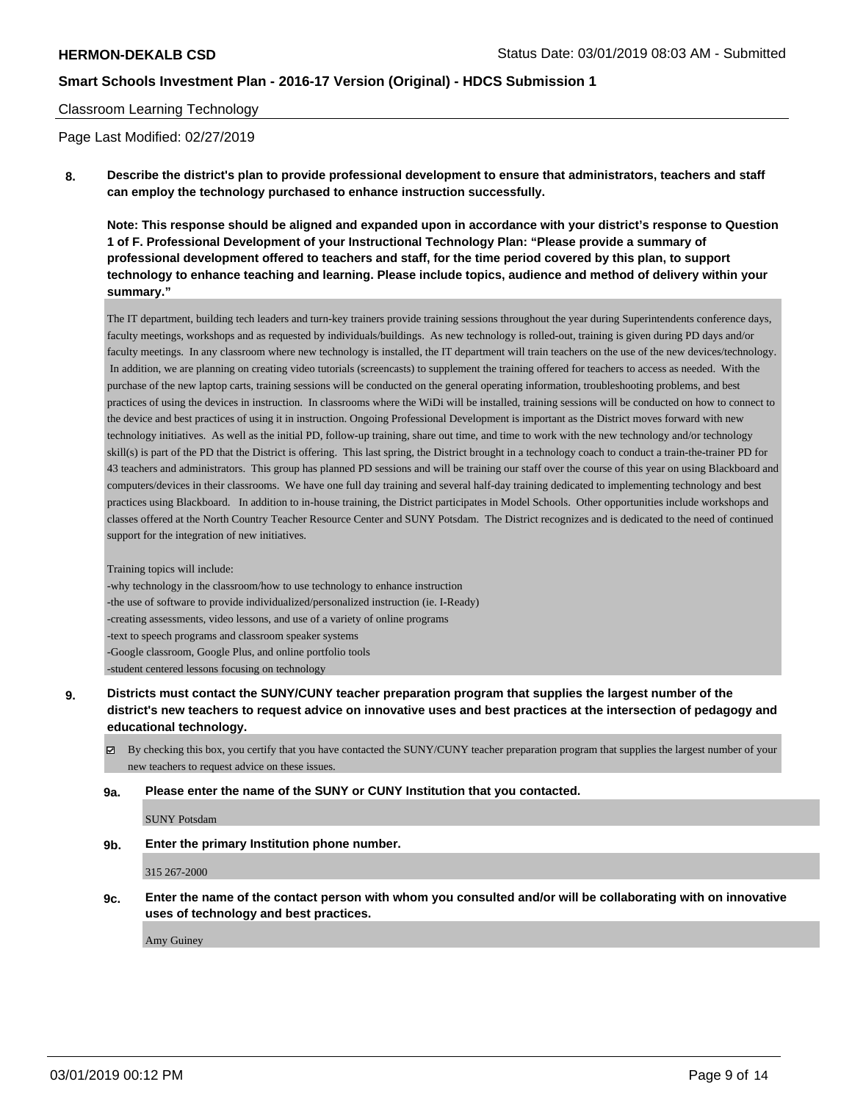### Classroom Learning Technology

Page Last Modified: 02/27/2019

# **8. Describe the district's plan to provide professional development to ensure that administrators, teachers and staff can employ the technology purchased to enhance instruction successfully.**

**Note: This response should be aligned and expanded upon in accordance with your district's response to Question 1 of F. Professional Development of your Instructional Technology Plan: "Please provide a summary of professional development offered to teachers and staff, for the time period covered by this plan, to support technology to enhance teaching and learning. Please include topics, audience and method of delivery within your summary."**

The IT department, building tech leaders and turn-key trainers provide training sessions throughout the year during Superintendent s conference days, faculty meetings, workshops and as requested by individuals/buildings. As new technology is rolled-out, training is given during PD days and/or faculty meetings. In any classroom where new technology is installed, the IT department will train teachers on the use of the new devices/technology. In addition, we are planning on creating video tutorials (screencasts) to supplement the training offered for teachers to access as needed. With the purchase of the new laptop carts, training sessions will be conducted on the general operating information, troubleshooting problems, and best practices of using the devices in instruction. In classrooms where the WiDi will be installed, training sessions will be conducted on how to connect to the device and best practices of using it in instruction. Ongoing Professional Development is important as the District moves forward with new technology initiatives. As well as the initial PD, follow-up training, share out time, and time to work with the new technology and/or technology skill(s) is part of the PD that the District is offering. This last spring, the District brought in a technology coach to conduct a train-the-trainer PD for 43 teachers and administrators. This group has planned PD sessions and will be training our staff over the course of this year on using Blackboard and computers/devices in their classrooms. We have one full day training and several half-day training dedicated to implementing technology and best practices using Blackboard. In addition to in-house training, the District participates in Model Schools. Other opportunities include workshops and classes offered at the North Country Teacher Resource Center and SUNY Potsdam. The District recognizes and is dedicated to the need of continued support for the integration of new initiatives.

Training topics will include:

-why technology in the classroom/how to use technology to enhance instruction -the use of software to provide individualized/personalized instruction (ie. I-Ready) -creating assessments, video lessons, and use of a variety of online programs -text to speech programs and classroom speaker systems -Google classroom, Google Plus, and online portfolio tools -student centered lessons focusing on technology

**9. Districts must contact the SUNY/CUNY teacher preparation program that supplies the largest number of the district's new teachers to request advice on innovative uses and best practices at the intersection of pedagogy and educational technology.**

By checking this box, you certify that you have contacted the SUNY/CUNY teacher preparation program that supplies the largest number of your new teachers to request advice on these issues.

### **9a. Please enter the name of the SUNY or CUNY Institution that you contacted.**

SUNY Potsdam

**9b. Enter the primary Institution phone number.**

315 267-2000

**9c. Enter the name of the contact person with whom you consulted and/or will be collaborating with on innovative uses of technology and best practices.**

Amy Guiney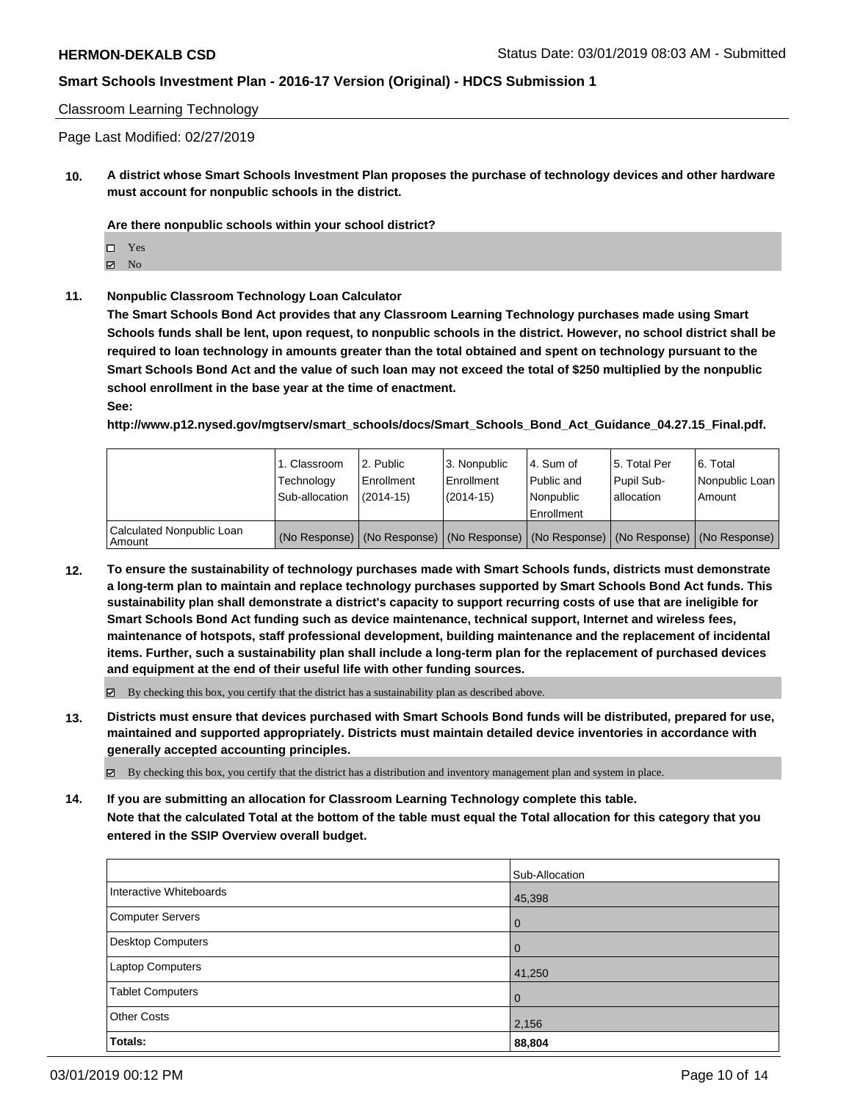### Classroom Learning Technology

Page Last Modified: 02/27/2019

**10. A district whose Smart Schools Investment Plan proposes the purchase of technology devices and other hardware must account for nonpublic schools in the district.**

**Are there nonpublic schools within your school district?**

 $\boxtimes$  No

### **11. Nonpublic Classroom Technology Loan Calculator**

**The Smart Schools Bond Act provides that any Classroom Learning Technology purchases made using Smart Schools funds shall be lent, upon request, to nonpublic schools in the district. However, no school district shall be required to loan technology in amounts greater than the total obtained and spent on technology pursuant to the Smart Schools Bond Act and the value of such loan may not exceed the total of \$250 multiplied by the nonpublic school enrollment in the base year at the time of enactment.**

**See:**

**http://www.p12.nysed.gov/mgtserv/smart\_schools/docs/Smart\_Schools\_Bond\_Act\_Guidance\_04.27.15\_Final.pdf.**

|                                     | 1. Classroom<br>Technology<br>Sub-allocation | l 2. Public<br>Enrollment<br>$(2014 - 15)$ | <sup>1</sup> 3. Nonpublic<br>Enrollment<br>(2014-15) | 4. Sum of<br>Public and<br>l Nonpublic<br>Enrollment | l 5. Total Per<br>Pupil Sub-<br>lallocation                                                   | l 6. Total<br>Nonpublic Loan<br>Amount |
|-------------------------------------|----------------------------------------------|--------------------------------------------|------------------------------------------------------|------------------------------------------------------|-----------------------------------------------------------------------------------------------|----------------------------------------|
| Calculated Nonpublic Loan<br>Amount |                                              |                                            |                                                      |                                                      | (No Response)   (No Response)   (No Response)   (No Response)   (No Response)   (No Response) |                                        |

**12. To ensure the sustainability of technology purchases made with Smart Schools funds, districts must demonstrate a long-term plan to maintain and replace technology purchases supported by Smart Schools Bond Act funds. This sustainability plan shall demonstrate a district's capacity to support recurring costs of use that are ineligible for Smart Schools Bond Act funding such as device maintenance, technical support, Internet and wireless fees, maintenance of hotspots, staff professional development, building maintenance and the replacement of incidental items. Further, such a sustainability plan shall include a long-term plan for the replacement of purchased devices and equipment at the end of their useful life with other funding sources.**

 $\boxtimes$  By checking this box, you certify that the district has a sustainability plan as described above.

**13. Districts must ensure that devices purchased with Smart Schools Bond funds will be distributed, prepared for use, maintained and supported appropriately. Districts must maintain detailed device inventories in accordance with generally accepted accounting principles.**

By checking this box, you certify that the district has a distribution and inventory management plan and system in place.

**14. If you are submitting an allocation for Classroom Learning Technology complete this table. Note that the calculated Total at the bottom of the table must equal the Total allocation for this category that you entered in the SSIP Overview overall budget.**

|                          | Sub-Allocation |
|--------------------------|----------------|
| Interactive Whiteboards  | 45,398         |
| <b>Computer Servers</b>  | 0              |
| <b>Desktop Computers</b> | $\Omega$       |
| Laptop Computers         | 41,250         |
| <b>Tablet Computers</b>  | $\mathbf 0$    |
| <b>Other Costs</b>       | 2,156          |
| Totals:                  | 88,804         |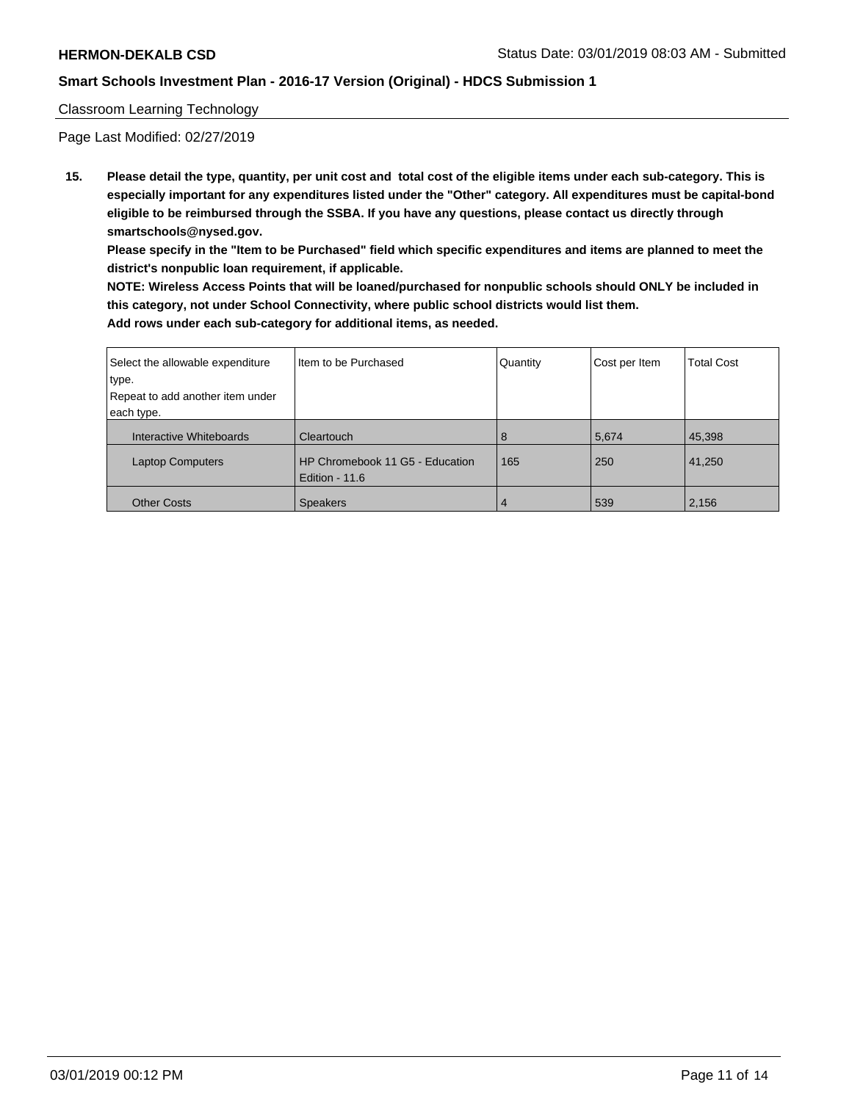### Classroom Learning Technology

Page Last Modified: 02/27/2019

**15. Please detail the type, quantity, per unit cost and total cost of the eligible items under each sub-category. This is especially important for any expenditures listed under the "Other" category. All expenditures must be capital-bond eligible to be reimbursed through the SSBA. If you have any questions, please contact us directly through smartschools@nysed.gov.**

**Please specify in the "Item to be Purchased" field which specific expenditures and items are planned to meet the district's nonpublic loan requirement, if applicable.**

**NOTE: Wireless Access Points that will be loaned/purchased for nonpublic schools should ONLY be included in this category, not under School Connectivity, where public school districts would list them. Add rows under each sub-category for additional items, as needed.**

| Select the allowable expenditure | Iltem to be Purchased                               | Quantity | Cost per Item | <b>Total Cost</b> |
|----------------------------------|-----------------------------------------------------|----------|---------------|-------------------|
| type.                            |                                                     |          |               |                   |
| Repeat to add another item under |                                                     |          |               |                   |
| each type.                       |                                                     |          |               |                   |
| Interactive Whiteboards          | Cleartouch                                          | 8        | 5,674         | 45,398            |
| <b>Laptop Computers</b>          | HP Chromebook 11 G5 - Education<br>Edition - $11.6$ | 165      | 250           | 41,250            |
| <b>Other Costs</b>               | <b>Speakers</b>                                     | 4        | 539           | 2,156             |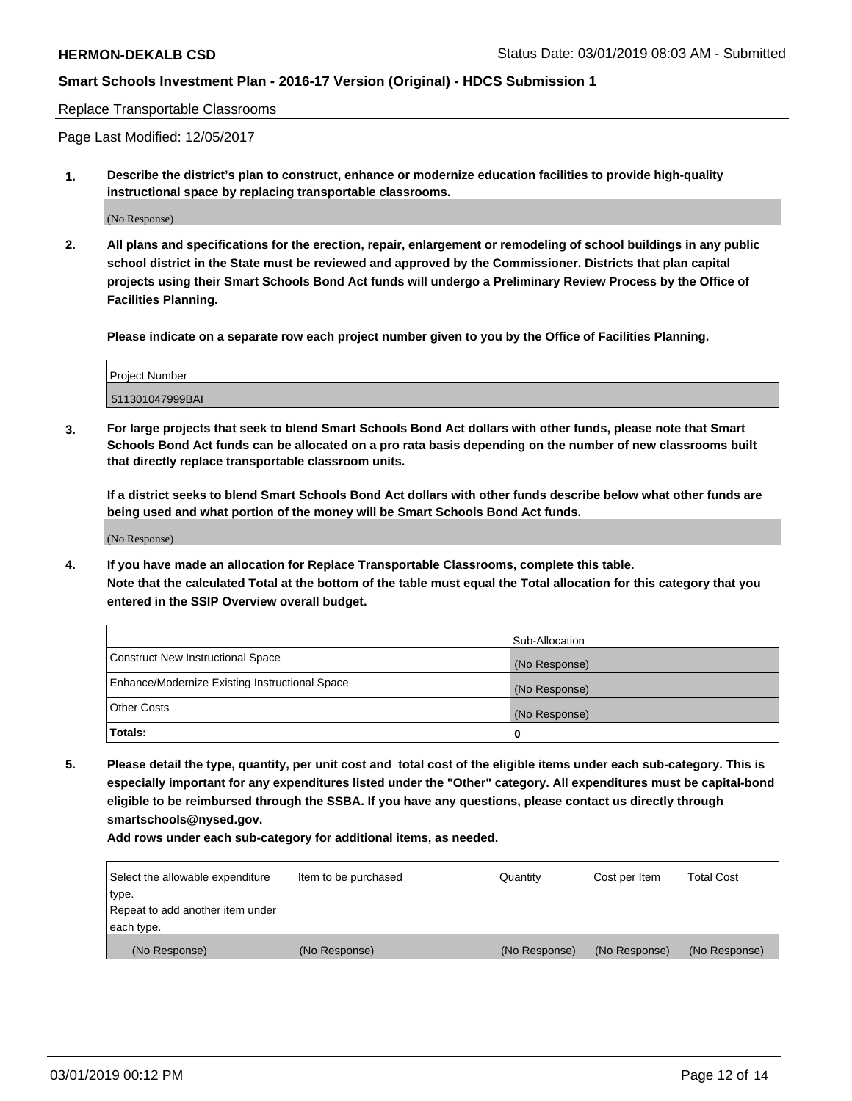Replace Transportable Classrooms

Page Last Modified: 12/05/2017

**1. Describe the district's plan to construct, enhance or modernize education facilities to provide high-quality instructional space by replacing transportable classrooms.**

(No Response)

**2. All plans and specifications for the erection, repair, enlargement or remodeling of school buildings in any public school district in the State must be reviewed and approved by the Commissioner. Districts that plan capital projects using their Smart Schools Bond Act funds will undergo a Preliminary Review Process by the Office of Facilities Planning.**

**Please indicate on a separate row each project number given to you by the Office of Facilities Planning.**

| Project Number  |  |
|-----------------|--|
| 511301047999BAI |  |
|                 |  |

**3. For large projects that seek to blend Smart Schools Bond Act dollars with other funds, please note that Smart Schools Bond Act funds can be allocated on a pro rata basis depending on the number of new classrooms built that directly replace transportable classroom units.**

**If a district seeks to blend Smart Schools Bond Act dollars with other funds describe below what other funds are being used and what portion of the money will be Smart Schools Bond Act funds.**

(No Response)

**4. If you have made an allocation for Replace Transportable Classrooms, complete this table. Note that the calculated Total at the bottom of the table must equal the Total allocation for this category that you entered in the SSIP Overview overall budget.**

|                                                | Sub-Allocation |
|------------------------------------------------|----------------|
| Construct New Instructional Space              | (No Response)  |
| Enhance/Modernize Existing Instructional Space | (No Response)  |
| Other Costs                                    | (No Response)  |
| Totals:                                        |                |

**5. Please detail the type, quantity, per unit cost and total cost of the eligible items under each sub-category. This is especially important for any expenditures listed under the "Other" category. All expenditures must be capital-bond eligible to be reimbursed through the SSBA. If you have any questions, please contact us directly through smartschools@nysed.gov.**

**Add rows under each sub-category for additional items, as needed.**

| Select the allowable expenditure | Item to be purchased | Quantity      | Cost per Item | <b>Total Cost</b> |
|----------------------------------|----------------------|---------------|---------------|-------------------|
| type.                            |                      |               |               |                   |
| Repeat to add another item under |                      |               |               |                   |
| each type.                       |                      |               |               |                   |
| (No Response)                    | (No Response)        | (No Response) | (No Response) | (No Response)     |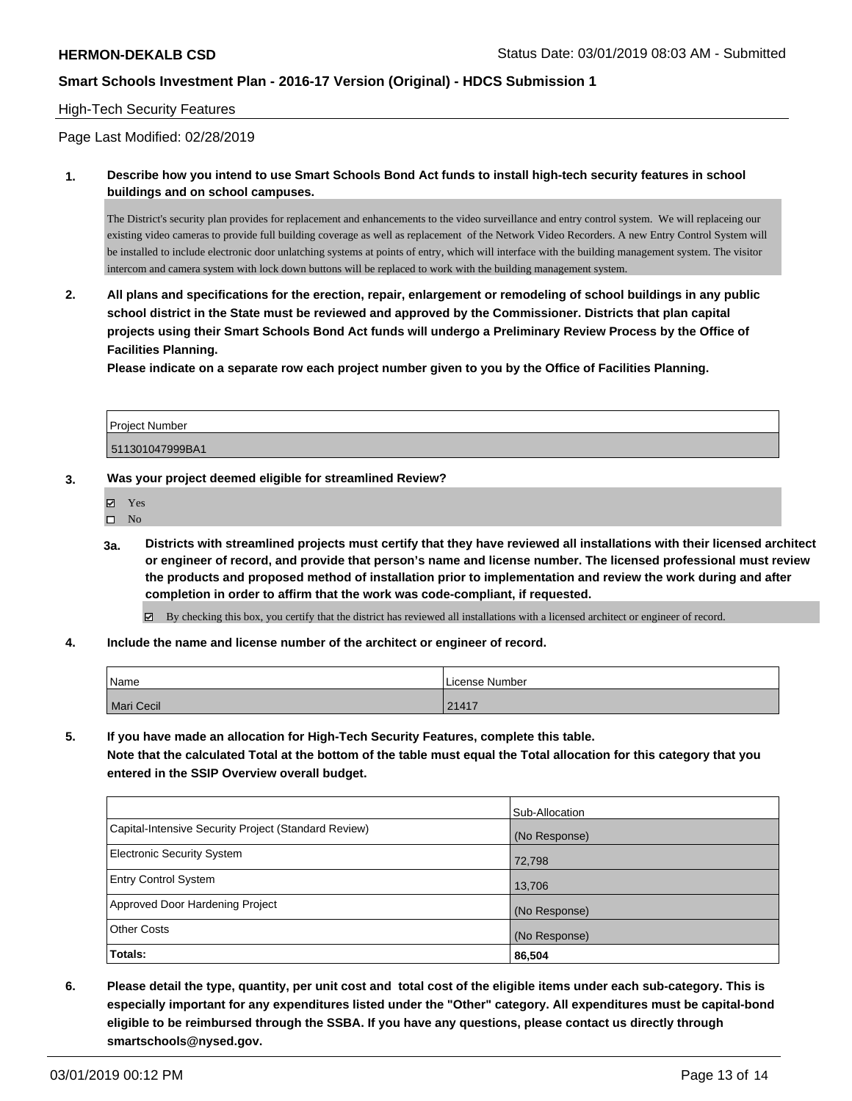### High-Tech Security Features

Page Last Modified: 02/28/2019

**1. Describe how you intend to use Smart Schools Bond Act funds to install high-tech security features in school buildings and on school campuses.**

The District's security plan provides for replacement and enhancements to the video surveillance and entry control system. We will replaceing our existing video cameras to provide full building coverage as well as replacement of the Network Video Recorders. A new Entry Control System will be installed to include electronic door unlatching systems at points of entry, which will interface with the building management system. The visitor intercom and camera system with lock down buttons will be replaced to work with the building management system.

**2. All plans and specifications for the erection, repair, enlargement or remodeling of school buildings in any public school district in the State must be reviewed and approved by the Commissioner. Districts that plan capital projects using their Smart Schools Bond Act funds will undergo a Preliminary Review Process by the Office of Facilities Planning.** 

**Please indicate on a separate row each project number given to you by the Office of Facilities Planning.**

| <b>Project Number</b> |  |
|-----------------------|--|
| 511301047999BA1       |  |

- **3. Was your project deemed eligible for streamlined Review?**
	- Yes
	- $\square$  No
	- **3a. Districts with streamlined projects must certify that they have reviewed all installations with their licensed architect or engineer of record, and provide that person's name and license number. The licensed professional must review the products and proposed method of installation prior to implementation and review the work during and after completion in order to affirm that the work was code-compliant, if requested.**

 $\boxtimes$  By checking this box, you certify that the district has reviewed all installations with a licensed architect or engineer of record.

**4. Include the name and license number of the architect or engineer of record.**

| Name       | l License Number |
|------------|------------------|
| Mari Cecil | 21417            |

**5. If you have made an allocation for High-Tech Security Features, complete this table.**

**Note that the calculated Total at the bottom of the table must equal the Total allocation for this category that you entered in the SSIP Overview overall budget.**

|                                                      | Sub-Allocation |
|------------------------------------------------------|----------------|
| Capital-Intensive Security Project (Standard Review) | (No Response)  |
| <b>Electronic Security System</b>                    | 72,798         |
| <b>Entry Control System</b>                          | 13,706         |
| Approved Door Hardening Project                      | (No Response)  |
| <b>Other Costs</b>                                   | (No Response)  |
| <b>Totals:</b>                                       | 86,504         |

**6. Please detail the type, quantity, per unit cost and total cost of the eligible items under each sub-category. This is especially important for any expenditures listed under the "Other" category. All expenditures must be capital-bond eligible to be reimbursed through the SSBA. If you have any questions, please contact us directly through smartschools@nysed.gov.**